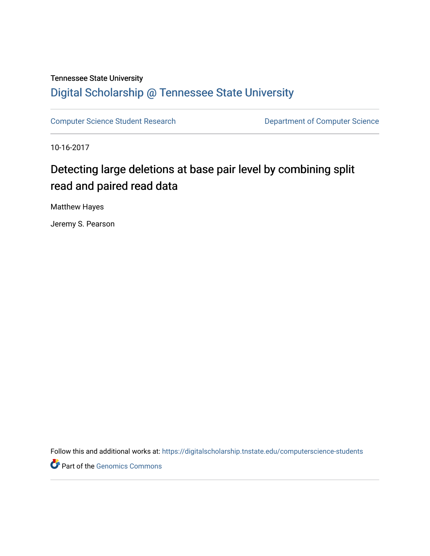## Tennessee State University [Digital Scholarship @ Tennessee State University](https://digitalscholarship.tnstate.edu/)

[Computer Science Student Research](https://digitalscholarship.tnstate.edu/computerscience-students) Department of Computer Science

10-16-2017

# Detecting large deletions at base pair level by combining split read and paired read data

Matthew Hayes

Jeremy S. Pearson

Follow this and additional works at: [https://digitalscholarship.tnstate.edu/computerscience-students](https://digitalscholarship.tnstate.edu/computerscience-students?utm_source=digitalscholarship.tnstate.edu%2Fcomputerscience-students%2F1&utm_medium=PDF&utm_campaign=PDFCoverPages) 

**P** Part of the Genomics Commons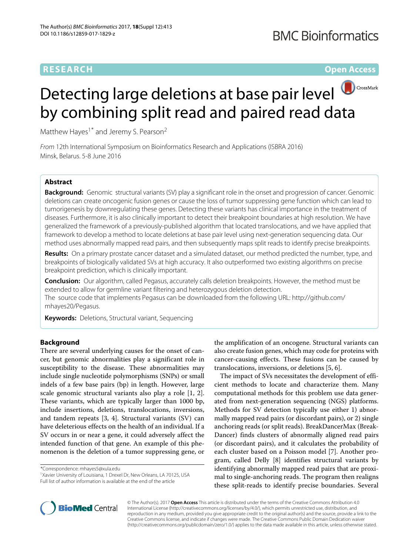## **RESEARCH Open Access**

# Detecting large deletions at base pair level by combining split read and paired read data

Matthew Hayes<sup>1\*</sup> and Jeremy S. Pearson<sup>2</sup>

From 12th International Symposium on Bioinformatics Research and Applications (ISBRA 2016) Minsk, Belarus. 5-8 June 2016

#### **Abstract**

**Background:** Genomic structural variants (SV) play a significant role in the onset and progression of cancer. Genomic deletions can create oncogenic fusion genes or cause the loss of tumor suppressing gene function which can lead to tumorigenesis by downregulating these genes. Detecting these variants has clinical importance in the treatment of diseases. Furthermore, it is also clinically important to detect their breakpoint boundaries at high resolution. We have generalized the framework of a previously-published algorithm that located translocations, and we have applied that framework to develop a method to locate deletions at base pair level using next-generation sequencing data. Our method uses abnormally mapped read pairs, and then subsequently maps split reads to identify precise breakpoints.

**Results:** On a primary prostate cancer dataset and a simulated dataset, our method predicted the number, type, and breakpoints of biologically validated SVs at high accuracy. It also outperformed two existing algorithms on precise breakpoint prediction, which is clinically important.

**Conclusion:** Our algorithm, called Pegasus, accurately calls deletion breakpoints. However, the method must be extended to allow for germline variant filtering and heterozygous deletion detection.

The source code that implements Pegasus can be downloaded from the following URL: [http://github.com/](http://github.com/mhayes20/Pegasus) [mhayes20/Pegasus.](http://github.com/mhayes20/Pegasus)

**Keywords:** Deletions, Structural variant, Sequencing

#### **Background**

There are several underlying causes for the onset of cancer, but genomic abnormalities play a significant role in susceptibility to the disease. These abnormalities may include single nucleotide polymorphisms (SNPs) or small indels of a few base pairs (bp) in length. However, large scale genomic structural variants also play a role [\[1,](#page-6-0) [2\]](#page-6-1). These variants, which are typically larger than 1000 bp, include insertions, deletions, translocations, inversions, and tandem repeats [\[3,](#page-6-2) [4\]](#page-6-3). Structural variants (SV) can have deleterious effects on the health of an individual. If a SV occurs in or near a gene, it could adversely affect the intended function of that gene. An example of this phenomenon is the deletion of a tumor suppressing gene, or

<sup>1</sup>Xavier University of Louisiana, 1 Drexel Dr, New Orleans, LA 70125, USA Full list of author information is available at the end of the article

the amplification of an oncogene. Structural variants can also create fusion genes, which may code for proteins with cancer-causing effects. These fusions can be caused by translocations, inversions, or deletions [\[5,](#page-6-4) [6\]](#page-6-5).

The impact of SVs necessitates the development of efficient methods to locate and characterize them. Many computational methods for this problem use data generated from next-generation sequencing (NGS) platforms. Methods for SV detection typically use either 1) abnormally mapped read pairs (or discordant pairs), or 2) single anchoring reads (or split reads). BreakDancerMax (Break-Dancer) finds clusters of abnormally aligned read pairs (or discordant pairs), and it calculates the probability of each cluster based on a Poisson model [\[7\]](#page-6-6). Another program, called Delly [\[8\]](#page-6-7) identifies structural variants by identifying abnormally mapped read pairs that are proximal to single-anchoring reads. The program then realigns these split-reads to identify precise boundaries. Several



© The Author(s). 2017 **Open Access** This article is distributed under the terms of the Creative Commons Attribution 4.0 International License [\(http://creativecommons.org/licenses/by/4.0/\)](http://creativecommons.org/licenses/by/4.0/), which permits unrestricted use, distribution, and reproduction in any medium, provided you give appropriate credit to the original author(s) and the source, provide a link to the Creative Commons license, and indicate if changes were made. The Creative Commons Public Domain Dedication waiver [\(http://creativecommons.org/publicdomain/zero/1.0/\)](http://creativecommons.org/publicdomain/zero/1.0/) applies to the data made available in this article, unless otherwise stated.

<sup>\*</sup>Correspondence: [mhayes5@xula.edu](mailto: mhayes5@xula.edu)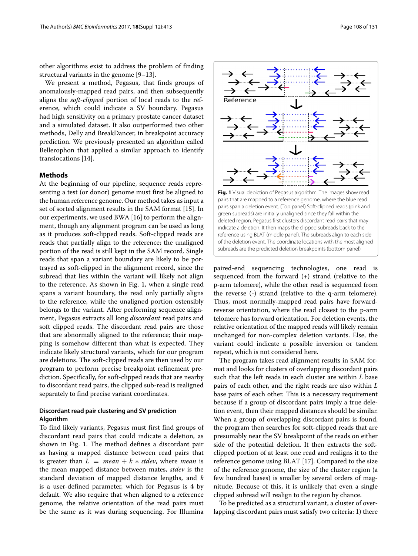other algorithms exist to address the problem of finding structural variants in the genome [\[9](#page-6-8)[–13\]](#page-6-9).

We present a method, Pegasus, that finds groups of anomalously-mapped read pairs, and then subsequently aligns the *soft-clipped* portion of local reads to the reference, which could indicate a SV boundary. Pegasus had high sensitivity on a primary prostate cancer dataset and a simulated dataset. It also outperformed two other methods, Delly and BreakDancer, in breakpoint accuracy prediction. We previously presented an algorithm called Bellerophon that applied a similar approach to identify translocations [\[14\]](#page-7-0).

#### **Methods**

At the beginning of our pipeline, sequence reads representing a test (or donor) genome must first be aligned to the human reference genome. Our method takes as input a set of sorted alignment results in the SAM format [\[15\]](#page-7-1). In our experiments, we used BWA [\[16\]](#page-7-2) to perform the alignment, though any alignment program can be used as long as it produces soft-clipped reads. Soft-clipped reads are reads that partially align to the reference; the unaligned portion of the read is still kept in the SAM record. Single reads that span a variant boundary are likely to be portrayed as soft-clipped in the alignment record, since the subread that lies within the variant will likely not align to the reference. As shown in Fig. [1,](#page-2-0) when a single read spans a variant boundary, the read only partially aligns to the reference, while the unaligned portion ostensibly belongs to the variant. After performing sequence alignment, Pegasus extracts all long *discordant* read pairs and soft clipped reads. The discordant read pairs are those that are abnormally aligned to the reference; their mapping is somehow different than what is expected. They indicate likely structural variants, which for our program are deletions. The soft-clipped reads are then used by our program to perform precise breakpoint refinement prediction. Specifically, for soft-clipped reads that are nearby to discordant read pairs, the clipped sub-read is realigned separately to find precise variant coordinates.

#### **Discordant read pair clustering and SV prediction Algorithm**

To find likely variants, Pegasus must first find groups of discordant read pairs that could indicate a deletion, as shown in Fig. [1.](#page-2-0) The method defines a discordant pair as having a mapped distance between read pairs that is greater than  $L = mean + k * stdev$ , where *mean* is the mean mapped distance between mates, *stdev* is the standard deviation of mapped distance lengths, and *k* is a user-defined parameter, which for Pegasus is 4 by default. We also require that when aligned to a reference genome, the relative orientation of the read pairs must be the same as it was during sequencing. For Illumina



<span id="page-2-0"></span>paired-end sequencing technologies, one read is sequenced from the forward (+) strand (relative to the p-arm telomere), while the other read is sequenced from the reverse (-) strand (relative to the q-arm telomere). Thus, most normally-mapped read pairs have forwardreverse orientation, where the read closest to the p-arm telomere has forward orientation. For deletion events, the relative orientation of the mapped reads will likely remain unchanged for non-complex deletion variants. Else, the variant could indicate a possible inversion or tandem repeat, which is not considered here.

The program takes read alignment results in SAM format and looks for clusters of overlapping discordant pairs such that the left reads in each cluster are within *L* base pairs of each other, and the right reads are also within *L* base pairs of each other. This is a necessary requirement because if a group of discordant pairs imply a true deletion event, then their mapped distances should be similar. When a group of overlapping discordant pairs is found, the program then searches for soft-clipped reads that are presumably near the SV breakpoint of the reads on either side of the potential deletion. It then extracts the softclipped portion of at least one read and realigns it to the reference genome using BLAT [\[17\]](#page-7-3). Compared to the size of the reference genome, the size of the cluster region (a few hundred bases) is smaller by several orders of magnitude. Because of this, it is unlikely that even a single clipped subread will realign to the region by chance.

To be predicted as a structural variant, a cluster of overlapping discordant pairs must satisfy two criteria: 1) there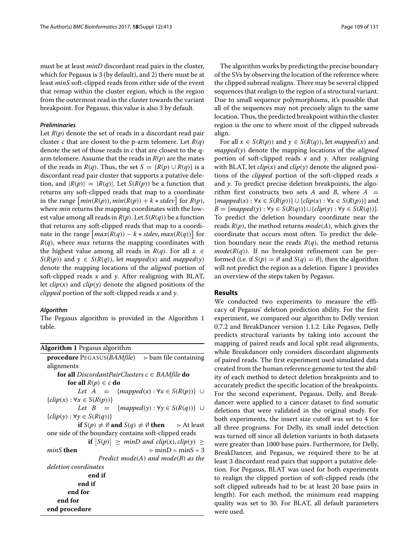must be at least *minD* discordant read pairs in the cluster, which for Pegasus is 3 (by default), and 2) there must be at least *minS* soft-clipped reads from either side of the event that remap within the cluster region, which is the region from the outermost read in the cluster towards the variant breakpoint. For Pegasus, this value is also 3 by default.

#### *Preliminaries*

Let  $R(p)$  denote the set of reads in a discordant read pair cluster *c* that are closest to the p-arm telomere. Let  $R(q)$ denote the set of those reads in *c* that are closest to the qarm telomere. Assume that the reads in  $R(p)$  are the mates of the reads in *R*(*q*). Thus, the set *S* = {*R*(*p*)  $\cup$  *R*(*q*)} is a discordant read pair cluster that supports a putative deletion, and  $|R(p)|=|R(q)|$ . Let *S*(*R*(*p*)) be a function that returns any soft-clipped reads that map to a coordinate  $\text{in the range } \left[ \textit{min}(R(p)), \textit{min}(R(p)) + k * \textit{stdev} \right] \text{ for } R(p),$ where *min* returns the mapping coordinates with the lowest value among all reads in *R*(*p*). Let *S*(*R*(*q*)) be a function that returns any soft-clipped reads that map to a coordinate in the range  $\left[ max(R(q)) - k * stdev, max(R(q)) \right]$  for *R*(*q*), where *max* returns the mapping coordinates with the highest value among all reads in *R*(*q*). For all  $x \in$ *S*( $R(p)$ ) and  $y \in S(R(q))$ , let *mapped*(*x*) and *mapped*(*y*) denote the mapping locations of the *aligned* portion of soft-clipped reads *x* and *y*. After realigning with BLAT, let *clip*(*x*) and *clip*(*y*) denote the aligned positions of the *clipped* portion of the soft-clipped reads *x* and *y*.

#### *Algorithm*

The Pegasus algorithm is provided in the Algorithm 1 table.

| <b>Algorithm 1</b> Pegasus algorithm                                               |
|------------------------------------------------------------------------------------|
| <b>procedure</b> PEGASUS( <i>BAMfile</i> )<br>$\triangleright$ bam file containing |
| alignments                                                                         |
| <b>for all</b> DiscordantPairClusters $c \in BAMfile$ <b>do</b>                    |
| for all $R(p) \in c$ do                                                            |
| Let $A = \{mapped(x) : \forall x \in S(R(p))\}$ U                                  |
| ${clip(x) : \forall x \in S(R(p))}$                                                |
| Let $B = \{mapped(y) : \forall y \in S(R(q))\}$ U                                  |
| ${clip(y) : \forall y \in S(R(q))}$                                                |
| if $S(p) \neq \emptyset$ and $S(q) \neq \emptyset$ then $\Rightarrow$ At least     |
| one side of the boundary contains soft-clipped reads                               |
| if $ S(p)  \geq minD$ and $clip(x), clip(y) \geq$                                  |
| $\triangleright$ minD = minS = 3<br>minS then                                      |
| Predict mode(A) and mode(B) as the                                                 |
| deletion coordinates                                                               |
| end if                                                                             |
| end if                                                                             |
| end for                                                                            |
| end for                                                                            |
| end procedure                                                                      |

The algorithm works by predicting the precise boundary of the SVs by observing the location of the reference where the clipped subread realigns. There may be several clipped sequences that realign to the region of a structural variant. Due to small sequence polymorphisms, it's possible that all of the sequences may not precisely align to the same location. Thus, the predicted breakpoint within the cluster region is the one to where most of the clipped subreads align.

For all  $x \in S(R(p))$  and  $y \in S(R(q))$ , let *mapped*(*x*) and *mapped*(*y*) denote the mapping locations of the *aligned* portion of soft-clipped reads *x* and *y*. After realigning with BLAT, let *clip*(*x*) and *clip*(*y*) denote the aligned positions of the *clipped* portion of the soft-clipped reads *x* and *y*. To predict precise deletion breakpoints, the algorithm first constructs two sets  $A$  and  $B$ , where  $A =$ {*mapped*(*x*) : ∀*x* ∈ *S*(*R*(*p*))}∪{*clip*(*x*) : ∀*x* ∈ *S*(*R*(*p*))} and *B* = {*mapped*(*y*) : ∀*y* ∈ *S*(*R*(*q*))}∪{*clip*(*y*) : ∀*y* ∈ *S*(*R*(*q*))}. To predict the deletion boundary coordinate near the reads *R*(*p*), the method returns *mode*(*A*), which gives the coordinate that occurs most often. To predict the deletion boundary near the reads  $R(q)$ , the method returns  $mode(R(q))$ . If no breakpoint refinement can be performed (i.e. if *S*(*p*) =  $\emptyset$  and *S*(*q*) =  $\emptyset$ ), then the algorithm will not predict the region as a deletion. Figure [1](#page-2-0) provides an overview of the steps taken by Pegasus.

#### **Results**

We conducted two experiments to measure the efficacy of Pegasus' deletion prediction ability. For the first experiment, we compared our algorithm to Delly version 0.7.2 and BreakDancer version 1.1.2. Like Pegasus, Delly predicts structural variants by taking into account the mapping of paired reads and local split read alignments, while Breakdancer only considers discordant alignments of paired reads. The first experiment used simulated data created from the human reference genome to test the ability of each method to detect deletion breakpoints and to accurately predict the specific location of the breakpoints. For the second experiment, Pegasus, Delly, and Breakdancer were applied to a cancer dataset to find somatic deletions that were validated in the original study. For both experiments, the insert size cutoff was set to 4 for all three programs. For Delly, its small indel detection was turned off since all deletion variants in both datasets were greater than 1000 base pairs. Furthermore, for Delly, BreakDancer, and Pegasus, we required there to be at least 3 discordant read pairs that support a putative deletion. For Pegasus, BLAT was used for both experiments to realign the clipped portion of soft-clipped reads (the soft clipped subreads had to be at least 20 base pairs in length). For each method, the minimum read mapping quality was set to 30. For BLAT, all default parameters were used.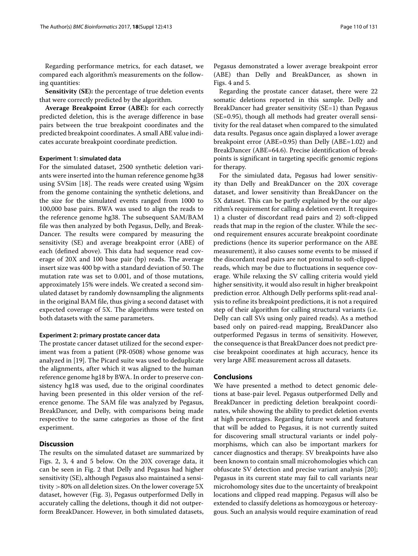Regarding performance metrics, for each dataset, we compared each algorithm's measurements on the following quantities:

**Sensitivity (SE):** the percentage of true deletion events that were correctly predicted by the algorithm.

**Average Breakpoint Error (ABE):** for each correctly predicted deletion, this is the average difference in base pairs between the true breakpoint coordinates and the predicted breakpoint coordinates. A small ABE value indicates accurate breakpoint coordinate prediction.

#### **Experiment 1: simulated data**

For the simulated dataset, 2500 synthetic deletion variants were inserted into the human reference genome hg38 using SVSim [\[18\]](#page-7-4). The reads were created using Wgsim from the genome containing the synthetic deletions, and the size for the simulated events ranged from 1000 to 100,000 base pairs. BWA was used to align the reads to the reference genome hg38. The subsequent SAM/BAM file was then analyzed by both Pegasus, Delly, and Break-Dancer. The results were compared by measuring the sensitivity (SE) and average breakpoint error (ABE) of each (defined above). This data had sequence read coverage of 20X and 100 base pair (bp) reads. The average insert size was 400 bp with a standard deviation of 50. The mutation rate was set to 0.001, and of those mutations, approximately 15% were indels. We created a second simulated dataset by randomly downsampling the alignments in the original BAM file, thus giving a second dataset with expected coverage of 5X. The algorithms were tested on both datasets with the same parameters.

#### **Experiment 2: primary prostate cancer data**

The prostate cancer dataset utilized for the second experiment was from a patient (PR-0508) whose genome was analyzed in [\[19\]](#page-7-5). The Picard suite was used to deduplicate the alignments, after which it was aligned to the human reference genome hg18 by BWA. In order to preserve consistency hg18 was used, due to the original coordinates having been presented in this older version of the reference genome. The SAM file was analyzed by Pegasus, BreakDancer, and Delly, with comparisons being made respective to the same categories as those of the first experiment.

#### **Discussion**

The results on the simulated dataset are summarized by Figs. [2,](#page-5-0) [3,](#page-5-1) [4](#page-5-2) and [5](#page-6-10) below. On the 20X coverage data, it can be seen in Fig. [2](#page-5-0) that Delly and Pegasus had higher sensitivity (SE), although Pegasus also maintained a sensitivity >80% on all deletion sizes. On the lower coverage 5X dataset, however (Fig. [3\)](#page-5-1), Pegasus outperformed Delly in accurately calling the deletions, though it did not outperform BreakDancer. However, in both simulated datasets,

Pegasus demonstrated a lower average breakpoint error (ABE) than Delly and BreakDancer, as shown in Figs. [4](#page-5-2) and [5.](#page-6-10)

Regarding the prostate cancer dataset, there were 22 somatic deletions reported in this sample. Delly and BreakDancer had greater sensitivity (SE=1) than Pegasus (SE=0.95), though all methods had greater overall sensitivity for the real dataset when compared to the simulated data results. Pegasus once again displayed a lower average breakpoint error (ABE=0.95) than Delly (ABE=1.02) and BreakDancer (ABE=64.6). Precise identification of breakpoints is significant in targeting specific genomic regions for therapy.

For the simiulated data, Pegasus had lower sensitivity than Delly and BreakDancer on the 20X coverage dataset, and lower sensitivity than BreakDancer on the 5X dataset. This can be partly explained by the our algorithm's requirement for calling a deletion event. It requires 1) a cluster of discordant read pairs and 2) soft-clipped reads that map in the region of the cluster. While the second requirement ensures accurate breakpoint coordinate predictions (hence its superior performance on the ABE measurement), it also causes some events to be missed if the discordant read pairs are not proximal to soft-clipped reads, which may be due to fluctuations in sequence coverage. While relaxing the SV calling criteria would yield higher sensitivity, it would also result in higher breakpoint prediction error. Although Delly performs split-read analysis to refine its breakpoint predictions, it is not a required step of their algorithm for calling structural variants (i.e. Delly can call SVs using only paired reads). As a method based only on paired-read mapping, BreakDancer also outperformed Pegasus in terms of sensitivity. However, the consequence is that BreakDancer does not predict precise breakpoint coordinates at high accuracy, hence its very large ABE measurement across all datasets.

#### **Conclusions**

We have presented a method to detect genomic deletions at base-pair level. Pegasus outperformed Delly and BreakDancer in predicting deletion breakpoint coordinates, while showing the ability to predict deletion events at high percentages. Regarding future work and features that will be added to Pegasus, it is not currently suited for discovering small structural variants or indel polymorphisms, which can also be important markers for cancer diagnostics and therapy. SV breakpoints have also been known to contain small microhomologies which can obfuscate SV detection and precise variant analysis [\[20\]](#page-7-6); Pegasus in its current state may fail to call variants near microhomology sites due to the uncertainty of breakpoint locations and clipped read mapping. Pegasus will also be extended to classify deletions as homozygous or heterozygous. Such an analysis would require examination of read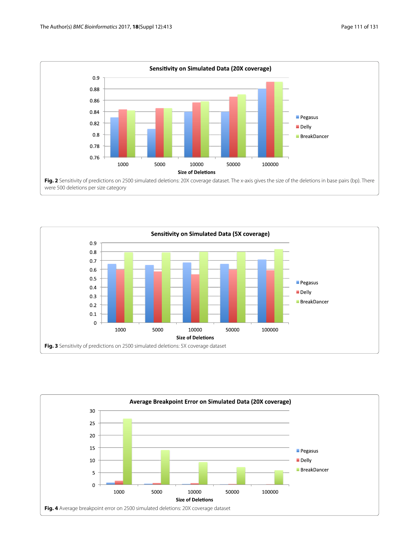

<span id="page-5-0"></span>

<span id="page-5-2"></span><span id="page-5-1"></span>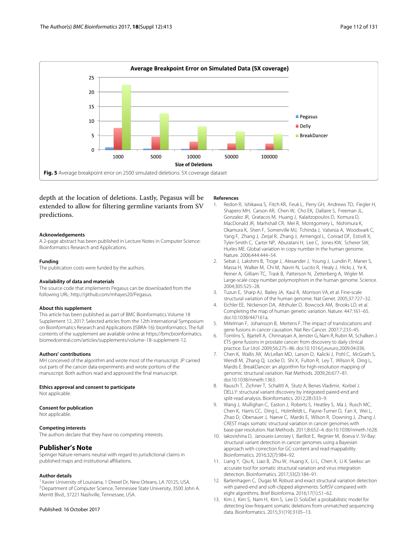

<span id="page-6-10"></span>depth at the location of deletions. Lastly, Pegasus will be extended to allow for filtering germline variants from SV predictions.

#### **Acknowledgements**

A 2-page abstract has been published in Lecture Notes in Computer Science: Bioinformatics Research and Applications.

#### **Funding**

The publication costs were funded by the authors.

#### **Availability of data and materials**

The source code that implements Pegasus can be downloaded from the following URL: [http://github.com/mhayes20/Pegasus.](http://github.com/mhayes20/Pegasus)

#### **About this supplement**

This article has been published as part of BMC Bioinformatics Volume 18 Supplement 12, 2017: Selected articles from the 12th International Symposium on Bioinformatics Research and Applications (ISBRA-16): bioinformatics. The full contents of the supplement are available online at [https://bmcbioinformatics.](https://bmcbioinformatics.biomedcentral.com/articles/supplements/volume-18-supplement-12) [biomedcentral.com/articles/supplements/volume-18-supplement-12.](https://bmcbioinformatics.biomedcentral.com/articles/supplements/volume-18-supplement-12)

#### **Authors' contributions**

MH conceived of the algorithm and wrote most of the manuscript. JP carried out parts of the cancer data experiments and wrote portions of the manuscript. Both authors read and approved the final manuscript.

#### **Ethics approval and consent to participate**

Not applicable.

#### **Consent for publication**

Not applicable.

#### **Competing interests**

The authors declare that they have no competing interests.

#### **Publisher's Note**

Springer Nature remains neutral with regard to jurisdictional claims in published maps and institutional affiliations.

#### **Author details**

<sup>1</sup>Xavier University of Louisiana, 1 Drexel Dr, New Orleans, LA 70125, USA. 2Department of Computer Science, Tennessee State University, 3500 John A. Merritt Blvd., 37221 Nashville, Tennessee, USA.

#### Published: 16 October 2017

#### **References**

- <span id="page-6-0"></span>1. Redon R, Ishikawa S, Fitch KR, Feuk L, Perry GH, Andrews TD, Fiegler H, Shapero MH, Carson AR, Chen W, Cho EK, Dallaire S, Freeman JL, Gonzalez JR, Gratacos M, Huang J, Kalaitzopoulos D, Komura D, MacDonald JR, Marhshall CR, Mei R, Montgomery L, Nishimura K, Okamura K, Shen F, Somerville MJ, Tchinda J, Valsesia A, Woodwark C, Yang F, Zhang J, Zerjal R, Zhang J, Armengol L, Conrad DF, Estivill X, Tyler-Smith C, Carter NP, Aburatani H, Lee C, Jones KW, Scherer SW, Hurles ME. Global variation in copy number in the human genome. Nature. 2006;444:444–54.
- <span id="page-6-1"></span>2. Sebat J, Lakshmi B, Troge J, Alexander J, Young J, Lundin P, Maner S, Massa H, Walker M, Chi M, Navin N, Lucito R, Healy J, Hicks J, Ye K, Reiner A, Gilliam TC, Trask B, Patterson N, Zetterberg A, Wigler M. Large-scale copy number polymorphism in the human genome. Science. 2004;305:525–28.
- <span id="page-6-2"></span>3. Tuzun E, Sharp AJ, Bailey JA, Kaul R, Morrison VA, et al. Fine-scale structural variation of the human genome. Nat Genet. 2005;37:727–32.
- <span id="page-6-3"></span>4. Eichler EE, Nickerson DA, Altshuler D, Bowcock AM, Brooks LD, et al. Completing the map of human genetic variation. Nature. 447:161–65. doi[:10.1038/447161a.](http://dx.doi.org/10.1038/447161a)
- <span id="page-6-4"></span>5. Mitelman F, Johansson B, Mertens F. The impact of translocations and gene fusions in cancer causation. Nat Rev Cancer. 2007;7:233–45.
- <span id="page-6-5"></span>6. Tomlins S, Bjartell A, Chinnaiyan A, Jenster G, Nam R, Rubin M, Schalken J. ETS gene fusions in prostate cancer: from discovery to daily clinical practice. Eur Urol. 2009;56:275–86. doi[:10.1016/j.eururo.2009.04.036.](http://dx.doi.org/10.1016/j.eururo.2009.04.036)
- <span id="page-6-6"></span>7. Chen K, Wallis JW, McLellan MD, Larson D, Kalicki J, Pohl C, McGrath S, Wendl M, Zhang Q, Locke D, Shi X, Fulton R, Ley T, Wilson R, Ding L, Mardis E. BreakDancer: an algorithm for high-resolution mapping of genomic structural variation. Nat Methods. 2009;26:677–81. doi[:10.1038/nmeth.1363.](http://dx.doi.org/10.1038/nmeth.1363)
- <span id="page-6-7"></span>8. Rausch T, Zichner T, Schalttl A, Stutz A, Benes Vladimir, Korbel J. DELLY: structural variant discovery by integrated paired-end and split-read analysis. Bioinformatics. 2012;28:i333–9.
- <span id="page-6-8"></span>9. Wang J, Mullighan C, Easton J, Roberts S, Heatley S, Ma J, Rusch MC, Chen K, Harris CC, Ding L, Holmfeldt L, Payne-Turner D, Fan X, Wei L, Zhao D, Obenauer J, Naeve C, Mardis E, Wilson R, Downing J, Zhang J. CREST maps somatic structural variation in cancer genomes with base-pair resolution. Nat Methods. 2011;8:652–4. doi[:10.1038/nmeth.1628.](http://dx.doi.org/10.1038/nmeth.1628)
- 10. Iakovishina D, Janoueix-Lerosey I, Barillot E, Regnier M, Boeva V. SV-Bay: structural variant detection in cancer genomes using a Bayesian approach with correction for GC-content and read mappability. Bioinformatics. 2016;32(7):984–92.
- 11. Liang Y, Qiu K, Liao B, Zhu W, Huang X, Li L, Chen X, Li K. Seeksv: an accurate tool for somatic structural variation and virus integration detection. Bioinformatics. 2017;33(2):184–91.
- 12. Bartenhagen C, Dugas M. Robust and exact structural variation detection with paired-end and soft-clipped alignments: SoftSV compared with eight algorithms. Brief Bioinforma. 2016;17(1):51–62.
- <span id="page-6-9"></span>13. Kim J, Kim S, Nam H, Kim S, Lee D. SoloDel: a probabilistic model for detecting low-frequent somatic deletions from unmatched sequencing data. Bioinformatics. 2015;31(19):3105–13.